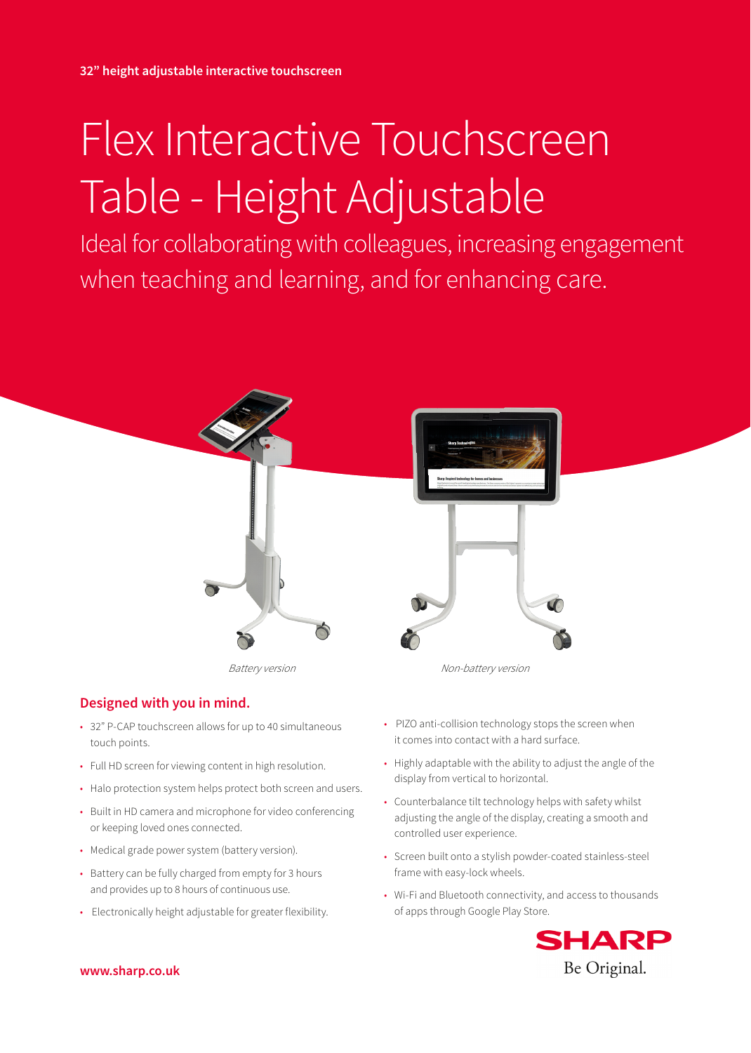# Flex Interactive Touchscreen Table - Height Adjustable

Ideal for collaborating with colleagues, increasing engagement when teaching and learning, and for enhancing care.



# **Designed with you in mind.**

- 32" P-CAP touchscreen allows for up to 40 simultaneous touch points.
- Full HD screen for viewing content in high resolution.
- Halo protection system helps protect both screen and users.
- Built in HD camera and microphone for video conferencing or keeping loved ones connected.
- Medical grade power system (battery version).
- Battery can be fully charged from empty for 3 hours and provides up to 8 hours of continuous use.
- Electronically height adjustable for greater flexibility.

• PIZO anti-collision technology stops the screen when it comes into contact with a hard surface.

- Highly adaptable with the ability to adjust the angle of the display from vertical to horizontal.
- Counterbalance tilt technology helps with safety whilst adjusting the angle of the display, creating a smooth and controlled user experience.
- Screen built onto a stylish powder-coated stainless-steel frame with easy-lock wheels.
- Wi-Fi and Bluetooth connectivity, and access to thousands of apps through Google Play Store.



**www.sharp.co.uk**